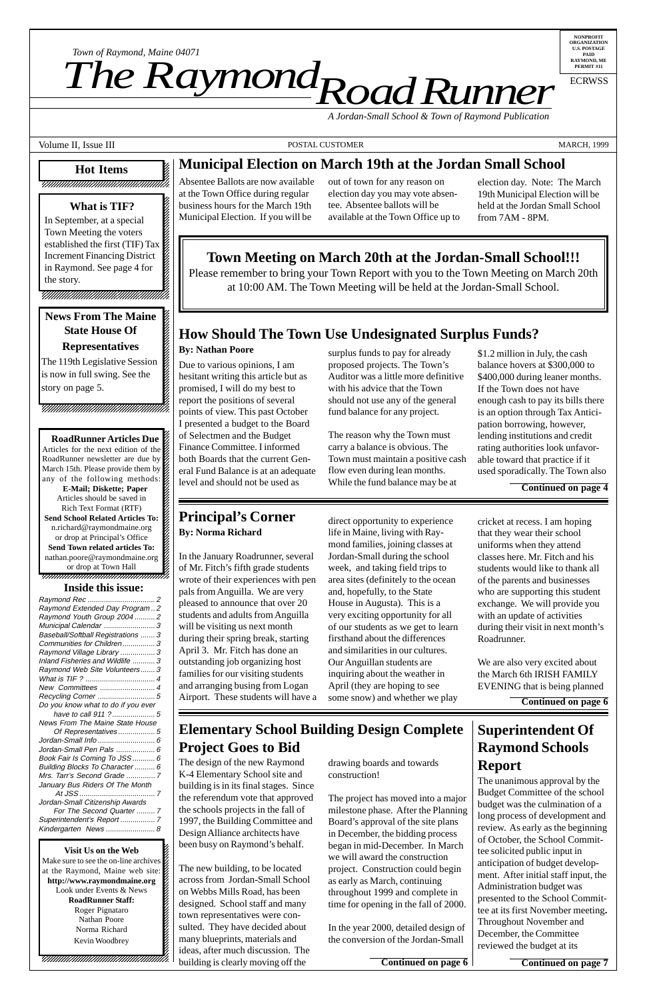12345678901234567890123456789012123456789012345 12345678901234567890123456789012123456789012345

**Visit Us on the Web** 12345678901234567890123456789012123456789012345 Make sure to see the on-line archives  $\mathcal{Z}$ at the Raymond, Maine web site: http://www.raymondmaine.org Look under Events  $&$  News **RoadRunner Staff:** Roger Pignataro 12345678901234567890123456789012123456789012345 Nathan Poore 12345678901234567890123456789012123456789012345 Norma Richard 22 12345678901234567890123456789012123456789012345 Kevin Woodbrey  $1$  5  $-$  5  $-$  5  $-$  5  $-$  5  $-$  5  $-$  5  $-$  5  $-$  5  $-$  5  $-$  5  $-$  5  $-$  5  $-$  5  $-$  5  $-$  5  $-$  5  $-$  5  $-$  5  $-$  5  $-$  5  $-$  5  $-$  5  $-$  5  $-$  5  $-$  5  $-$  5  $-$  5  $-$  5  $-$  5  $-$  5  $-$  5  $-$  5  $-$  5  $-$  5  $-$  5  $-$  5  $1235678901234567890123456789012345678901234567890123456789012345678901234567890123456789012345678901234567890123456789012345678901234567890123456789012345678901234567890123456789012345678901234567890123456789012345678901$  $1235678901234567890123456789012345678901234567890123456789012345678901234567890123456789012345678901234567890123456789012345678901234567890123456789012345678901234567890123456789012345678901234567890123456789012345678901$ 12345678901234567890123456789012123456789012345 12345678901234567890123456789012123456789012345 12345678901234567890123456789012123456789012345

12345678901234567890123456789012345678901234567890123456789012345678901234567890123456789012345678901234567890

12345678901234567890123456789012123456789012345

#### 12345678901234567890123456789012345678901234567890123456789012345678901234567890123456789012345678901234567890 **Hot Items** 12345678901234567890123456789012123456789012345

#### 12345678901234567890123456789012123456789012345 788881890123456789012345678901234567891212345678912

The new building, to be located across from Jordan-Small School on Webbs Mills Road, has been designed. School staff and many town representatives were consulted. They have decided about many blueprints, materials and ideas, after much discussion. The building is clearly moving off the **Continued on page 6 Continued on page 7** 

*Town of Raymond, Maine 04071*<br> **The Raymond, Maine 04071** 

**NONPROFIT ORGANIZATION U.S. POSTAGE PAID RAYMOND, ME PERMIT #11**

ECRWSS

*Road Runner A Jordan-Small School & Town of Raymond Publication*

Volume II, Issue III **POSTAL CUSTOMER** POSTAL CUSTOMER MARCH, 1999

### **Municipal Election on March 19th at the Jordan Small School**

Absentee Ballots are now available at the Town Office during regular business hours for the March 19th Municipal Election. If you will be

#### **Principal's Corner By: Norma Richard**

# **How Should The Town Use Undesignated Surplus Funds?**

#### **By: Nathan Poore**

#### $12367890$  1234 $367890$  1234 $36780$  1235 $\pm$ 12345678901234567890123456789012123456789012345 12345678901234567890123456789012123456789012345 **1234** What is TIF? 12345678901234567890123456789012123456789012345 12345678901234567890123456789012123456789012345

In September, at a special  $\mathbb{Z}$ Town Meeting the voters  $\mathbb{Z}$ established the first (TIF) Tax 12345678901234567890123456789012123456789012345 Increment Financing District  $1$  5  $-$  5  $-$  5  $-$  5  $-$  5  $-$  5  $-$  5  $-$  5  $-$  5  $-$  5  $-$  5  $-$  5  $-$  5  $-$  5  $-$  5  $-$  5  $-$  5  $-$  5  $-$  5  $-$  5  $-$  5  $-$  5  $-$  5  $-$  5  $-$  5  $-$  5  $-$  5  $-$  5  $-$  5  $-$  5  $-$  5  $-$  5  $-$  5  $-$  5  $-$  5  $-$  5  $-$  5 in Raymond. See page 4 for  $1$  5  $1$  5  $1$  5  $1$  5  $1$  5  $1$  5  $1$  5  $1$  5  $1$  5  $1$  5  $1$  5  $1$  5  $1$  5  $1$ the story.

> In the January Roadrunner, several of Mr. Fitch's fifth grade students wrote of their experiences with pen pals from Anguilla. We are very pleased to announce that over 20 students and adults from Anguilla will be visiting us next month during their spring break, starting April 3. Mr. Fitch has done an outstanding job organizing host families for our visiting students and arranging busing from Logan Airport. These students will have a

direct opportunity to experience life in Maine, living with Raymond families, joining classes at Jordan-Small during the school week, and taking field trips to area sites (definitely to the ocean and, hopefully, to the State House in Augusta). This is a very exciting opportunity for all of our students as we get to learn firsthand about the differences and similarities in our cultures. Our Anguillan students are inquiring about the weather in April (they are hoping to see some snow) and whether we play

#### 12345678901234567890123456789012123456789012345 **News From The Maine** 12345678901234567890123456789012123456789012345 12345678901234567890123456789012123456789012345 **State House Of** 12345678901234567890123456789012123456789012345 12345678901234567890123456789012123456789012345 12345678901234567890123456789012123456789012345 **Representatives**

### **Superintendent Of Raymond Schools Report**

#### 12345678901234567890123456789012123456789012345 12345678901234567890123456789012123456789012345 **Inside this issue:**

The unanimous approval by the Budget Committee of the school budget was the culmination of a long process of development and review. As early as the beginning of October, the School Committee solicited public input in anticipation of budget development. After initial staff input, the Administration budget was presented to the School Committee at its first November meeting**.** Throughout November and December, the Committee reviewed the budget at its

**Elementary School Building Design Complete**

# **Project Goes to Bid**

drawing boards and towards construction!

The project has moved into a major milestone phase. After the Planning Board's approval of the site plans in December, the bidding process began in mid-December. In March we will award the construction project. Construction could begin as early as March, continuing throughout 1999 and complete in time for opening in the fall of 2000.

In the year 2000, detailed design of the conversion of the Jordan-Small

out of town for any reason on election day you may vote absentee. Absentee ballots will be available at the Town Office up to

| Raymond Extended Day Program2      |
|------------------------------------|
| Raymond Youth Group 2004  2        |
| Municipal Calendar  3              |
| Baseball/Softball Registrations  3 |
| Communities for Children 3         |
| Raymond Village Library  3         |
| Inland Fisheries and Wildlife  3   |
| Raymond Web Site Volunteers 3      |
|                                    |
| New Committees  4                  |
|                                    |
| Do you know what to do if you ever |
|                                    |
| News From The Maine State House    |
| Of Representatives 5               |

election day. Note: The March 19th Municipal Election will be held at the Jordan Small School from 7AM - 8PM.

### **Town Meeting on March 20th at the Jordan-Small School!!!**

Please remember to bring your Town Report with you to the Town Meeting on March 20th at 10:00 AM. The Town Meeting will be held at the Jordan-Small School.

Due to various opinions, I am hesitant writing this article but as promised, I will do my best to report the positions of several points of view. This past October I presented a budget to the Board of Selectmen and the Budget Finance Committee. I informed both Boards that the current General Fund Balance is at an adequate level and should not be used as

surplus funds to pay for already proposed projects. The Town's Auditor was a little more definitive with his advice that the Town should not use any of the general fund balance for any project.

The reason why the Town must carry a balance is obvious. The Town must maintain a positive cash flow even during lean months. While the fund balance may be at

\$1.2 million in July, the cash balance hovers at \$300,000 to \$400,000 during leaner months. If the Town does not have enough cash to pay its bills there is an option through Tax Anticipation borrowing, however, lending institutions and credit rating authorities look unfavorable toward that practice if it used sporadically. The Town also

**Continued on page 4**

cricket at recess. I am hoping that they wear their school uniforms when they attend classes here. Mr. Fitch and his students would like to thank all of the parents and businesses who are supporting this student exchange. We will provide you with an update of activities during their visit in next month's Roadrunner.

We are also very excited about the March 6th IRISH FAMILY EVENING that is being planned

**Continued on page 6**

The design of the new Raymond K-4 Elementary School site and building is in its final stages. Since the referendum vote that approved the schools projects in the fall of 1997, the Building Committee and Design Alliance architects have been busy on Raymond's behalf.

| Jordan-Small Info  6            |
|---------------------------------|
| Jordan-Small Pen Pals  6        |
| Book Fair Is Coming To JSS  6   |
| Building Blocks To Character  6 |
| Mrs. Tarr's Second Grade  7     |
| January Bus Riders Of The Month |
|                                 |
| Jordan-Small Citizenship Awards |
| For The Second Quarter  7       |
| Superintendent's Report  7      |
| Kindergarten News  8            |
|                                 |

12345678901234567890123456789012123456789012345 12345678901234567890123456789012123456789012345 12345678901234567890123456789012123456789012345 12345678901234567890123456789012123456789012345 12345678901234567890123456789012123456789012345 12345678901234567890123456789012123456789012345

12345678901234567890123456789012123456789012345

The 119th Legislative Session 12345678901234567890123456789012123456789012345 is now in full swing. See the 12345678901234567890123456789012123456789012345 story on page 5.

12345678901234567890123456789012123456789012345  $15.5$  5  $15.5$  5  $15.5$  5  $15.5$  5  $15.5$  5  $15.5$  5  $15.5$  5  $15.5$  5  $15.5$  5  $15.5$  5  $15.5$  5  $15.5$  5  $15.5$  5  $15.5$  5  $15.5$  5  $15.5$  5  $15.5$  5  $15.5$  5  $15.5$  5  $15.5$  5  $15.5$  5  $15.5$  5  $15.5$  5  $15.5$  5  $15.5$ 12345678901234567890123456789012123456789012345  $1235678901234567890123456789012345678901234567890123456789012345678901234567890123456789012345678901234567890123456789012345678901234567890123456789012345678901234567890123456789012345678901234567890123456789012345678901$ 12345678901234567890123456789012123456789012345 12345678901234567890123456789012123456789012345

**RoadRunner Articles Due** 12345678901234567890123456789012123456789012345 Articles for the next edition of the  $\%$ RoadRunner newsletter are due by March 15th. Please provide them by  $\%$ any of the following methods: **E-Mail; Diskette; Paper** Articles should be saved in 12345678901234567890123456789012123456789012345 Rich Text Format (RTF)  $\%$ 12345678901234567890123456789012123456789012345 **Send School Related Articles To:** n.richard@raymondmaine.org 12345678901234567890123456789012123456789012345 or drop at Principal's Office  $\mathscr{L}$ **Send Town related articles To:** nathan.poore@raymondmaine.org  $\%$ or drop at Town Hall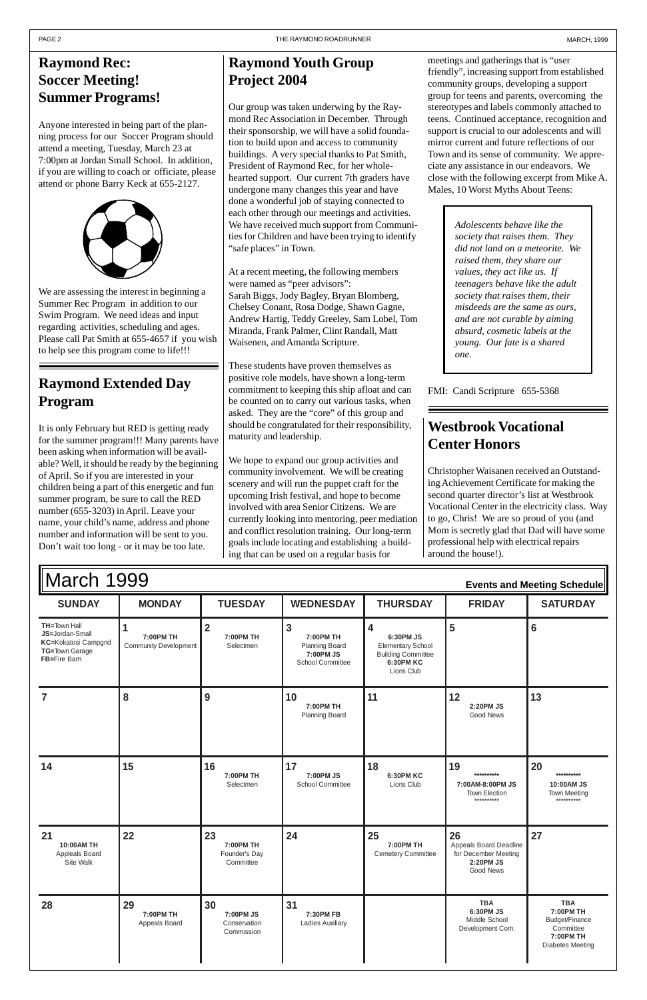#### **S Y UNDAY M Y ONDA T Y UESDA W Y EDNESDA T Y HURSDA F Y RIDA SATURDA TH=**Town Hall **JS=**Jordan-Small **KC=**Kokatosi Campgnd **TG=**Town Garage **FB=**Fire Barn **1 7:00PM TH** Community Development **2 7:00PM TH** Selectmen **3 7:00PM TH** Planning Board **7:00PM JS** School Committee **4 6:30PM JS** Elementary School Building Committee **6:30PM KC** Lions Club **5 6 789 01 7:00PM TH** Planning Board **11** 12 **2:20PM JS** Good News **13** March 1999 **Events and Meeting Schedule**

| 14                                              | 15                               | 16<br>7:00PM TH<br>Selectmen                  | 17<br>7:00PM JS<br>School Committee | 18<br><b>6:30PM KC</b><br>Lions Club         | 19<br>**********<br>7:00AM-8:00PM JS<br>Town Election<br>**********            | 20<br>**********<br>10:00AM JS<br><b>Town Meeting</b><br>**********                            |
|-------------------------------------------------|----------------------------------|-----------------------------------------------|-------------------------------------|----------------------------------------------|--------------------------------------------------------------------------------|------------------------------------------------------------------------------------------------|
| 21<br>10:00AM TH<br>Appleals Board<br>Site Walk | 22                               | 23<br>7:00PM TH<br>Founder's Day<br>Committee | 24                                  | 25<br>7:00PM TH<br><b>Cemetery Committee</b> | 26<br>Appeals Board Deadline<br>for December Meeting<br>2:20PM JS<br>Good News | 27                                                                                             |
| 28                                              | 29<br>7:00PM TH<br>Appeals Board | 30<br>7:00PM JS<br>Conservation<br>Commission | 31<br>7:30PM FB<br>Ladies Auxiliary |                                              | <b>TBA</b><br>6:30PM JS<br>Middle School<br>Development Com.                   | <b>TBA</b><br>7:00PM TH<br>Budget/Finance<br>Committee<br>7:00PM TH<br><b>Diabetes Meeting</b> |

Our group was taken underwing by the Raymond Rec Association in December. Through their sponsorship, we will have a solid foundation to build upon and access to community buildings. A very special thanks to Pat Smith, President of Raymond Rec, for her wholehearted support. Our current 7th graders have undergone many changes this year and have done a wonderful job of staying connected to each other through our meetings and activities. We have received much support from Communities for Children and have been trying to identify "safe places" in Town.

### **Raymond Rec: Soccer Meeting! Summer Programs!**

Anyone interested in being part of the planning process for our Soccer Program should attend a meeting, Tuesday, March 23 at 7:00pm at Jordan Small School. In addition, if you are willing to coach or officiate, please attend or phone Barry Keck at 655-2127.



### **Raymond Extended Day Program**

It is only February but RED is getting ready for the summer program!!! Many parents have been asking when information will be available? Well, it should be ready by the beginning of April. So if you are interested in your children being a part of this energetic and fun summer program, be sure to call the RED number (655-3203) in April. Leave your name, your child's name, address and phone number and information will be sent to you. Don't wait too long - or it may be too late.

### **Raymond Youth Group Project 2004**

At a recent meeting, the following members were named as "peer advisors": Sarah Biggs, Jody Bagley, Bryan Blomberg, Chelsey Conant, Rosa Dodge, Shawn Gagne, Andrew Hartig, Teddy Greeley, Sam Lobel, Tom Miranda, Frank Palmer, Clint Randall, Matt Waisenen, and Amanda Scripture.

These students have proven themselves as positive role models, have shown a long-term commitment to keeping this ship afloat and can be counted on to carry out various tasks, when asked. They are the "core" of this group and should be congratulated for their responsibility, maturity and leadership.

We hope to expand our group activities and community involvement. We will be creating scenery and will run the puppet craft for the upcoming Irish festival, and hope to become involved with area Senior Citizens. We are currently looking into mentoring, peer mediation and conflict resolution training. Our long-term goals include locating and establishing a building that can be used on a regular basis for

meetings and gatherings that is "user friendly", increasing support from established community groups, developing a support group for teens and parents, overcoming the stereotypes and labels commonly attached to teens. Continued acceptance, recognition and support is crucial to our adolescents and will mirror current and future reflections of our Town and its sense of community. We appreciate any assistance in our endeavors. We close with the following excerpt from Mike A. Males, 10 Worst Myths About Teens:

### **Westbrook Vocational Center Honors**

Christopher Waisanen received an Outstanding Achievement Certificate for making the second quarter director's list at Westbrook Vocational Center in the electricity class. Way to go, Chris! We are so proud of you (and Mom is secretly glad that Dad will have some professional help with electrical repairs around the house!).

*Adolescents behave like the society that raises them. They did not land on a meteorite. We raised them, they share our values, they act like us. If teenagers behave like the adult society that raises them, their misdeeds are the same as ours, and are not curable by aiming absurd, cosmetic labels at the young. Our fate is a shared one.*

FMI: Candi Scripture 655-5368

We are assessing the interest in beginning a Summer Rec Program in addition to our Swim Program. We need ideas and input regarding activities, scheduling and ages. Please call Pat Smith at 655-4657 if you wish to help see this program come to life!!!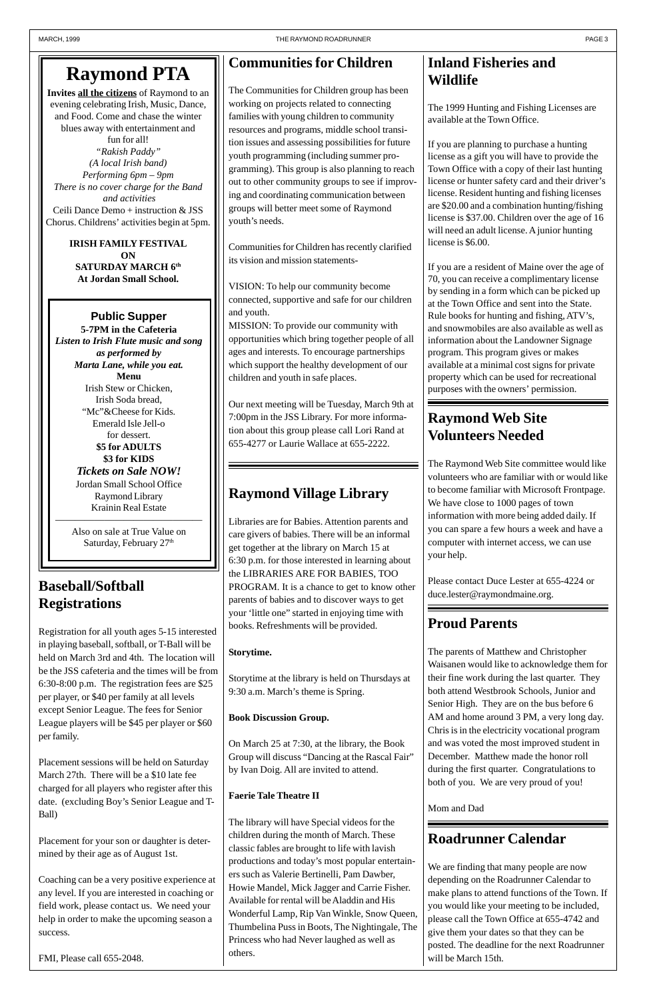**Invites all the citizens** of Raymond to an evening celebrating Irish, Music, Dance, and Food. Come and chase the winter blues away with entertainment and fun for all! *"Rakish Paddy" (A local Irish band) Performing 6pm – 9pm There is no cover charge for the Band and activities* Ceili Dance Demo + instruction & JSS Chorus. Childrens' activities begin at 5pm.

> Also on sale at True Value on Saturday, February 27<sup>th</sup>

**IRISH FAMILY FESTIVAL ON SATURDAY MARCH 6th At Jordan Small School.**

#### **Public Supper 5-7PM in the Cafeteria** *Listen to Irish Flute music and song as performed by Marta Lane, while you eat.* **Menu** Irish Stew or Chicken, Irish Soda bread, "Mc"&Cheese for Kids. Emerald Isle Jell-o for dessert. **\$5 for ADULTS \$3 for KIDS** *Tickets on Sale NOW!* Jordan Small School Office Raymond Library Krainin Real Estate

———————————————

### **Baseball/Softball Registrations**

Registration for all youth ages 5-15 interested in playing baseball, softball, or T-Ball will be held on March 3rd and 4th. The location will be the JSS cafeteria and the times will be from 6:30-8:00 p.m. The registration fees are \$25 per player, or \$40 per family at all levels except Senior League. The fees for Senior League players will be \$45 per player or \$60 per family.

Placement sessions will be held on Saturday March 27th. There will be a \$10 late fee charged for all players who register after this date. (excluding Boy's Senior League and T-Ball)

Placement for your son or daughter is determined by their age as of August 1st.

Coaching can be a very positive experience at any level. If you are interested in coaching or field work, please contact us. We need your help in order to make the upcoming season a success.

FMI, Please call 655-2048.

## **Communities for Children**

The Communities for Children group has been working on projects related to connecting families with young children to community resources and programs, middle school transition issues and assessing possibilities for future youth programming (including summer programming). This group is also planning to reach out to other community groups to see if improving and coordinating communication between groups will better meet some of Raymond youth's needs.

Communities for Children has recently clarified its vision and mission statements-

VISION: To help our community become connected, supportive and safe for our children and youth.

MISSION: To provide our community with opportunities which bring together people of all ages and interests. To encourage partnerships which support the healthy development of our children and youth in safe places.

Our next meeting will be Tuesday, March 9th at 7:00pm in the JSS Library. For more information about this group please call Lori Rand at 655-4277 or Laurie Wallace at 655-2222.

# **Raymond Village Library**

Libraries are for Babies. Attention parents and care givers of babies. There will be an informal get together at the library on March 15 at 6:30 p.m. for those interested in learning about the LIBRARIES ARE FOR BABIES, TOO PROGRAM. It is a chance to get to know other parents of babies and to discover ways to get your 'little one" started in enjoying time with books. Refreshments will be provided.

#### **Storytime.**

Storytime at the library is held on Thursdays at 9:30 a.m. March's theme is Spring.

#### **Book Discussion Group.**

On March 25 at 7:30, at the library, the Book Group will discuss "Dancing at the Rascal Fair" by Ivan Doig. All are invited to attend.

**Faerie Tale Theatre II**

The library will have Special videos for the children during the month of March. These classic fables are brought to life with lavish productions and today's most popular entertainers such as Valerie Bertinelli, Pam Dawber, Howie Mandel, Mick Jagger and Carrie Fisher. Available for rental will be Aladdin and His Wonderful Lamp, Rip Van Winkle, Snow Queen, Thumbelina Puss in Boots, The Nightingale, The Princess who had Never laughed as well as others.

## **Proud Parents**

The parents of Matthew and Christopher Waisanen would like to acknowledge them for their fine work during the last quarter. They both attend Westbrook Schools, Junior and Senior High. They are on the bus before 6 AM and home around 3 PM, a very long day. Chris is in the electricity vocational program and was voted the most improved student in December. Matthew made the honor roll during the first quarter. Congratulations to both of you. We are very proud of you!

#### Mom and Dad

### **Inland Fisheries and Wildlife**

The 1999 Hunting and Fishing Licenses are available at the Town Office.

If you are planning to purchase a hunting license as a gift you will have to provide the Town Office with a copy of their last hunting license or hunter safety card and their driver's license. Resident hunting and fishing licenses are \$20.00 and a combination hunting/fishing license is \$37.00. Children over the age of 16 will need an adult license. A junior hunting license is \$6.00.

If you are a resident of Maine over the age of 70, you can receive a complimentary license by sending in a form which can be picked up at the Town Office and sent into the State. Rule books for hunting and fishing, ATV's, and snowmobiles are also available as well as information about the Landowner Signage program. This program gives or makes available at a minimal cost signs for private property which can be used for recreational purposes with the owners' permission.

### **Raymond Web Site Volunteers Needed**

The Raymond Web Site committee would like volunteers who are familiar with or would like to become familiar with Microsoft Frontpage. We have close to 1000 pages of town information with more being added daily. If you can spare a few hours a week and have a computer with internet access, we can use your help.

Please contact Duce Lester at 655-4224 or duce.lester@raymondmaine.org.

### **Roadrunner Calendar**

We are finding that many people are now depending on the Roadrunner Calendar to make plans to attend functions of the Town. If you would like your meeting to be included, please call the Town Office at 655-4742 and give them your dates so that they can be posted. The deadline for the next Roadrunner will be March 15th.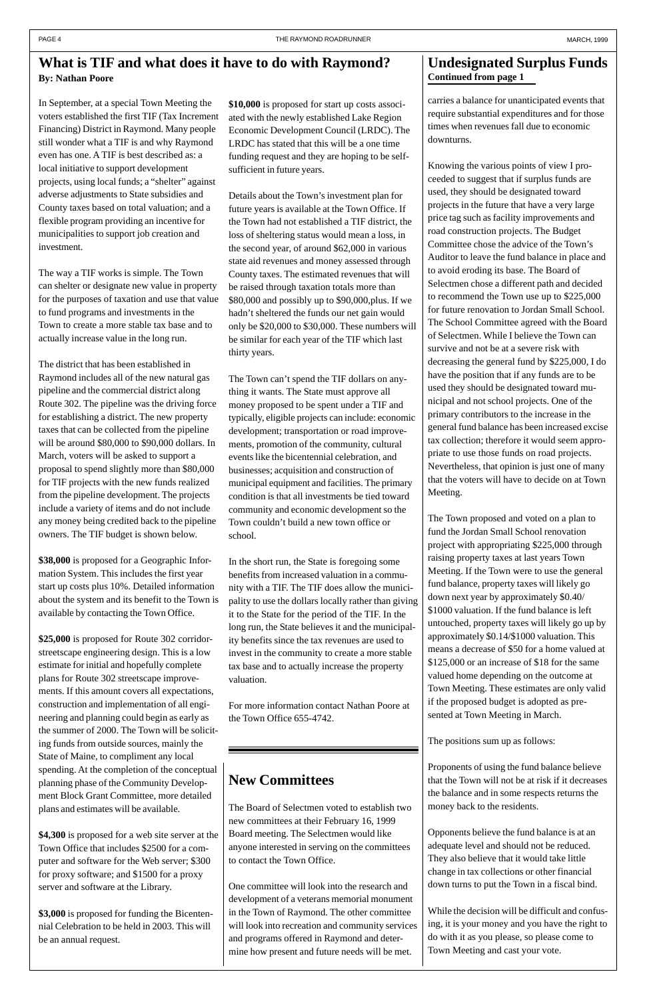### **New Committees**

The Board of Selectmen voted to establish two new committees at their February 16, 1999 Board meeting. The Selectmen would like anyone interested in serving on the committees to contact the Town Office.

### **What is TIF and what does it have to do with Raymond? By: Nathan Poore Continued from page 1**

One committee will look into the research and development of a veterans memorial monument in the Town of Raymond. The other committee will look into recreation and community services and programs offered in Raymond and determine how present and future needs will be met.

carries a balance for unanticipated events that require substantial expenditures and for those times when revenues fall due to economic downturns.

Knowing the various points of view I proceeded to suggest that if surplus funds are used, they should be designated toward projects in the future that have a very large price tag such as facility improvements and road construction projects. The Budget Committee chose the advice of the Town's Auditor to leave the fund balance in place and to avoid eroding its base. The Board of Selectmen chose a different path and decided to recommend the Town use up to \$225,000 for future renovation to Jordan Small School. The School Committee agreed with the Board of Selectmen. While I believe the Town can survive and not be at a severe risk with decreasing the general fund by \$225,000, I do have the position that if any funds are to be used they should be designated toward municipal and not school projects. One of the primary contributors to the increase in the general fund balance has been increased excise tax collection; therefore it would seem appropriate to use those funds on road projects. Nevertheless, that opinion is just one of many that the voters will have to decide on at Town Meeting.

The Town proposed and voted on a plan to fund the Jordan Small School renovation project with appropriating \$225,000 through raising property taxes at last years Town Meeting. If the Town were to use the general fund balance, property taxes will likely go down next year by approximately \$0.40/ \$1000 valuation. If the fund balance is left untouched, property taxes will likely go up by approximately \$0.14/\$1000 valuation. This means a decrease of \$50 for a home valued at \$125,000 or an increase of \$18 for the same valued home depending on the outcome at Town Meeting. These estimates are only valid if the proposed budget is adopted as presented at Town Meeting in March.

The positions sum up as follows:

Proponents of using the fund balance believe that the Town will not be at risk if it decreases the balance and in some respects returns the money back to the residents.

Opponents believe the fund balance is at an adequate level and should not be reduced. They also believe that it would take little change in tax collections or other financial down turns to put the Town in a fiscal bind.

While the decision will be difficult and confusing, it is your money and you have the right to do with it as you please, so please come to Town Meeting and cast your vote.

# **Undesignated Surplus Funds**

In September, at a special Town Meeting the voters established the first TIF (Tax Increment Financing) District in Raymond. Many people still wonder what a TIF is and why Raymond even has one. A TIF is best described as: a local initiative to support development projects, using local funds; a "shelter" against adverse adjustments to State subsidies and County taxes based on total valuation; and a flexible program providing an incentive for municipalities to support job creation and investment.

The way a TIF works is simple. The Town can shelter or designate new value in property for the purposes of taxation and use that value to fund programs and investments in the Town to create a more stable tax base and to actually increase value in the long run.

The district that has been established in Raymond includes all of the new natural gas pipeline and the commercial district along Route 302. The pipeline was the driving force for establishing a district. The new property taxes that can be collected from the pipeline will be around \$80,000 to \$90,000 dollars. In March, voters will be asked to support a proposal to spend slightly more than \$80,000 for TIF projects with the new funds realized from the pipeline development. The projects include a variety of items and do not include any money being credited back to the pipeline owners. The TIF budget is shown below.

**\$38,000** is proposed for a Geographic Information System. This includes the first year start up costs plus 10%. Detailed information about the system and its benefit to the Town is available by contacting the Town Office.

**\$25,000** is proposed for Route 302 corridorstreetscape engineering design. This is a low estimate for initial and hopefully complete plans for Route 302 streetscape improvements. If this amount covers all expectations, construction and implementation of all engineering and planning could begin as early as the summer of 2000. The Town will be soliciting funds from outside sources, mainly the State of Maine, to compliment any local spending. At the completion of the conceptual planning phase of the Community Development Block Grant Committee, more detailed plans and estimates will be available.

**\$4,300** is proposed for a web site server at the Town Office that includes \$2500 for a computer and software for the Web server; \$300 for proxy software; and \$1500 for a proxy server and software at the Library.

**\$3,000** is proposed for funding the Bicentennial Celebration to be held in 2003. This will be an annual request.

**\$10,000** is proposed for start up costs associated with the newly established Lake Region Economic Development Council (LRDC). The LRDC has stated that this will be a one time funding request and they are hoping to be selfsufficient in future years.

Details about the Town's investment plan for future years is available at the Town Office. If the Town had not established a TIF district, the loss of sheltering status would mean a loss, in the second year, of around \$62,000 in various state aid revenues and money assessed through County taxes. The estimated revenues that will be raised through taxation totals more than \$80,000 and possibly up to \$90,000,plus. If we hadn't sheltered the funds our net gain would only be \$20,000 to \$30,000. These numbers will be similar for each year of the TIF which last thirty years.

The Town can't spend the TIF dollars on anything it wants. The State must approve all money proposed to be spent under a TIF and typically, eligible projects can include: economic development; transportation or road improvements, promotion of the community, cultural events like the bicentennial celebration, and businesses; acquisition and construction of municipal equipment and facilities. The primary condition is that all investments be tied toward community and economic development so the Town couldn't build a new town office or school.

In the short run, the State is foregoing some benefits from increased valuation in a community with a TIF. The TIF does allow the municipality to use the dollars locally rather than giving it to the State for the period of the TIF. In the long run, the State believes it and the municipality benefits since the tax revenues are used to invest in the community to create a more stable tax base and to actually increase the property valuation.

For more information contact Nathan Poore at the Town Office 655-4742.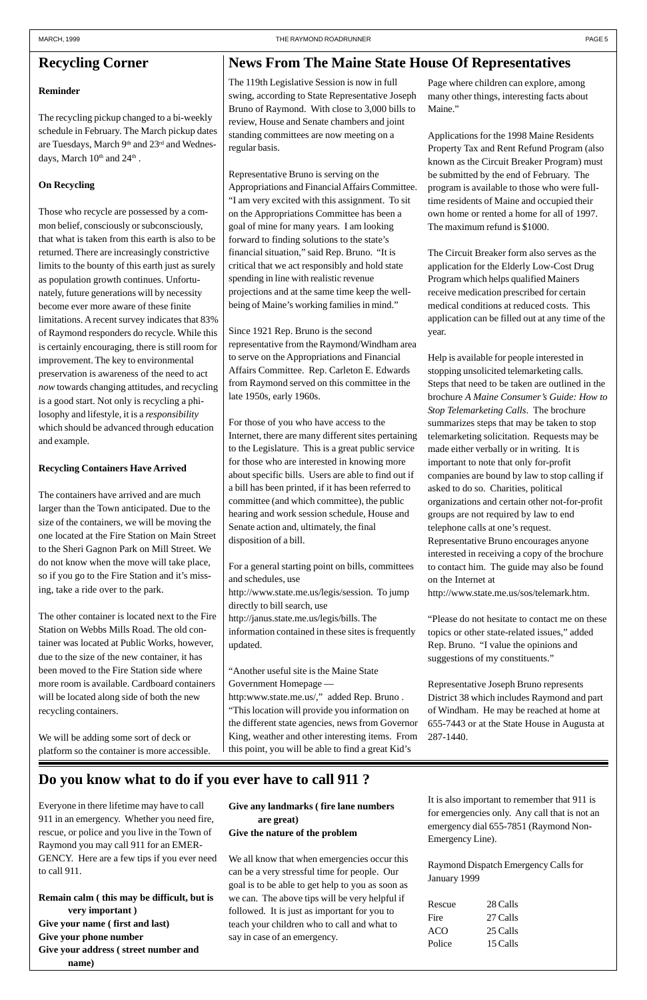### **Do you know what to do if you ever have to call 911 ?**

### **News From The Maine State House Of Representatives**

The 119th Legislative Session is now in full swing, according to State Representative Joseph Bruno of Raymond. With close to 3,000 bills to review, House and Senate chambers and joint standing committees are now meeting on a regular basis.

Representative Bruno is serving on the Appropriations and Financial Affairs Committee. "I am very excited with this assignment. To sit on the Appropriations Committee has been a goal of mine for many years. I am looking forward to finding solutions to the state's financial situation," said Rep. Bruno. "It is critical that we act responsibly and hold state spending in line with realistic revenue projections and at the same time keep the wellbeing of Maine's working families in mind."

Since 1921 Rep. Bruno is the second representative from the Raymond/Windham area to serve on the Appropriations and Financial Affairs Committee. Rep. Carleton E. Edwards from Raymond served on this committee in the late 1950s, early 1960s.

Page where children can explore, among many other things, interesting facts about Maine."

For those of you who have access to the Internet, there are many different sites pertaining to the Legislature. This is a great public service for those who are interested in knowing more about specific bills. Users are able to find out if a bill has been printed, if it has been referred to committee (and which committee), the public hearing and work session schedule, House and Senate action and, ultimately, the final disposition of a bill.

For a general starting point on bills, committees and schedules, use http://www.state.me.us/legis/session. To jump

directly to bill search, use http://janus.state.me.us/legis/bills. The information contained in these sites is frequently updated.

"Another useful site is the Maine State Government Homepage —

http:www.state.me.us/," added Rep. Bruno . "This location will provide you information on the different state agencies, news from Governor

King, weather and other interesting items. From 287-1440. this point, you will be able to find a great Kid's

The recycling pickup changed to a bi-weekly schedule in February. The March pickup dates are Tuesdays, March 9<sup>th</sup> and 23<sup>rd</sup> and Wednesdays, March 10<sup>th</sup> and 24<sup>th</sup>.

Applications for the 1998 Maine Residents Property Tax and Rent Refund Program (also known as the Circuit Breaker Program) must be submitted by the end of February. The program is available to those who were fulltime residents of Maine and occupied their own home or rented a home for all of 1997. The maximum refund is \$1000.

The Circuit Breaker form also serves as the application for the Elderly Low-Cost Drug Program which helps qualified Mainers receive medication prescribed for certain medical conditions at reduced costs. This application can be filled out at any time of the year.

Help is available for people interested in stopping unsolicited telemarketing calls. Steps that need to be taken are outlined in the brochure *A Maine Consumer's Guide: How to Stop Telemarketing Calls*. The brochure summarizes steps that may be taken to stop telemarketing solicitation. Requests may be made either verbally or in writing. It is important to note that only for-profit companies are bound by law to stop calling if asked to do so. Charities, political organizations and certain other not-for-profit groups are not required by law to end telephone calls at one's request. Representative Bruno encourages anyone interested in receiving a copy of the brochure to contact him. The guide may also be found on the Internet at

http://www.state.me.us/sos/telemark.htm.

"Please do not hesitate to contact me on these topics or other state-related issues," added Rep. Bruno. "I value the opinions and suggestions of my constituents."

Representative Joseph Bruno represents District 38 which includes Raymond and part of Windham. He may be reached at home at 655-7443 or at the State House in Augusta at

Everyone in there lifetime may have to call 911 in an emergency. Whether you need fire, rescue, or police and you live in the Town of Raymond you may call 911 for an EMER-GENCY. Here are a few tips if you ever need to call 911.

**Remain calm ( this may be difficult, but is very important ) Give your name ( first and last) Give your phone number Give your address ( street number and name)**

**Give any landmarks ( fire lane numbers are great) Give the nature of the problem**

We all know that when emergencies occur this can be a very stressful time for people. Our goal is to be able to get help to you as soon as we can. The above tips will be very helpful if followed. It is just as important for you to teach your children who to call and what to say in case of an emergency.

# **Recycling Corner**

#### **Reminder**

#### **On Recycling**

Those who recycle are possessed by a common belief, consciously or subconsciously, that what is taken from this earth is also to be returned. There are increasingly constrictive limits to the bounty of this earth just as surely as population growth continues. Unfortunately, future generations will by necessity become ever more aware of these finite limitations. A recent survey indicates that 83% of Raymond responders do recycle. While this is certainly encouraging, there is still room for improvement. The key to environmental preservation is awareness of the need to act *now* towards changing attitudes, and recycling is a good start. Not only is recycling a philosophy and lifestyle, it is a *responsibility* which should be advanced through education and example.

#### **Recycling Containers Have Arrived**

The containers have arrived and are much larger than the Town anticipated. Due to the size of the containers, we will be moving the one located at the Fire Station on Main Street to the Sheri Gagnon Park on Mill Street. We do not know when the move will take place, so if you go to the Fire Station and it's missing, take a ride over to the park.

The other container is located next to the Fire Station on Webbs Mills Road. The old container was located at Public Works, however, due to the size of the new container, it has been moved to the Fire Station side where more room is available. Cardboard containers will be located along side of both the new recycling containers.

We will be adding some sort of deck or platform so the container is more accessible.

It is also important to remember that 911 is for emergencies only. Any call that is not an emergency dial 655-7851 (Raymond Non-Emergency Line).

Raymond Dispatch Emergency Calls for January 1999

| Rescue | 28 Calls |
|--------|----------|
| Fire   | 27 Calls |
| ACO    | 25 Calls |
| Police | 15 Calls |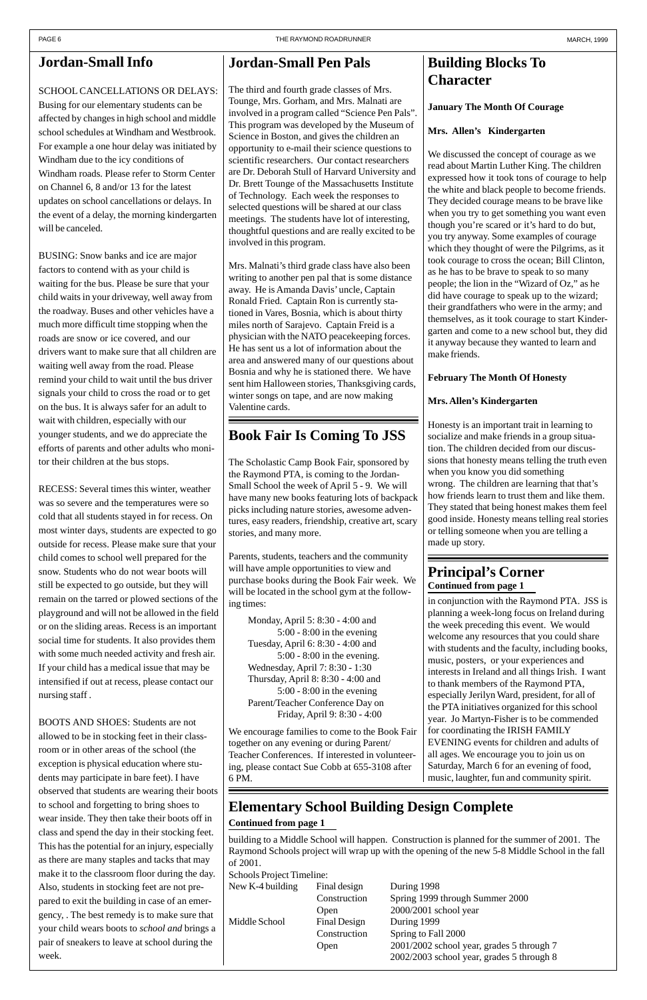in conjunction with the Raymond PTA. JSS is planning a week-long focus on Ireland during the week preceding this event. We would welcome any resources that you could share with students and the faculty, including books, music, posters, or your experiences and interests in Ireland and all things Irish. I want to thank members of the Raymond PTA, especially Jerilyn Ward, president, for all of the PTA initiatives organized for this school year. Jo Martyn-Fisher is to be commended for coordinating the IRISH FAMILY EVENING events for children and adults of all ages. We encourage you to join us on Saturday, March 6 for an evening of food, music, laughter, fun and community spirit.

## **Jordan-Small Pen Pals**

The third and fourth grade classes of Mrs. Tounge, Mrs. Gorham, and Mrs. Malnati are involved in a program called "Science Pen Pals". This program was developed by the Museum of Science in Boston, and gives the children an opportunity to e-mail their science questions to scientific researchers. Our contact researchers are Dr. Deborah Stull of Harvard University and Dr. Brett Tounge of the Massachusetts Institute of Technology. Each week the responses to selected questions will be shared at our class meetings. The students have lot of interesting, thoughtful questions and are really excited to be involved in this program.

Mrs. Malnati's third grade class have also been writing to another pen pal that is some distance away. He is Amanda Davis' uncle, Captain Ronald Fried. Captain Ron is currently stationed in Vares, Bosnia, which is about thirty miles north of Sarajevo. Captain Freid is a physician with the NATO peacekeeping forces. He has sent us a lot of information about the area and answered many of our questions about Bosnia and why he is stationed there. We have sent him Halloween stories, Thanksgiving cards, winter songs on tape, and are now making Valentine cards.

### **Book Fair Is Coming To JSS**

The Scholastic Camp Book Fair, sponsored by the Raymond PTA, is coming to the Jordan-Small School the week of April 5 - 9. We will have many new books featuring lots of backpack picks including nature stories, awesome adventures, easy readers, friendship, creative art, scary stories, and many more.

New K-4 building Final design During 1998 Construction Spring 1999 through Summer 2000 Open 2000/2001 school year Middle School Final Design During 1999 Construction Spring to Fall 2000 Open 2001/2002 school year, grades 5 through 7 2002/2003 school year, grades 5 through 8

Parents, students, teachers and the community will have ample opportunities to view and purchase books during the Book Fair week. We will be located in the school gym at the following times:

### **Building Blocks To Character**

**January The Month Of Courage**

#### **Mrs. Allen's Kindergarten**

We discussed the concept of courage as we read about Martin Luther King. The children expressed how it took tons of courage to help the white and black people to become friends. They decided courage means to be brave like when you try to get something you want even though you're scared or it's hard to do but, you try anyway. Some examples of courage which they thought of were the Pilgrims, as it took courage to cross the ocean; Bill Clinton, as he has to be brave to speak to so many people; the lion in the "Wizard of Oz," as he did have courage to speak up to the wizard; their grandfathers who were in the army; and themselves, as it took courage to start Kindergarten and come to a new school but, they did it anyway because they wanted to learn and make friends.

#### **February The Month Of Honesty**

#### **Mrs. Allen's Kindergarten**

Honesty is an important trait in learning to socialize and make friends in a group situation. The children decided from our discussions that honesty means telling the truth even when you know you did something wrong. The children are learning that that's how friends learn to trust them and like them. They stated that being honest makes them feel good inside. Honesty means telling real stories or telling someone when you are telling a made up story.

building to a Middle School will happen. Construction is planned for the summer of 2001. The Raymond Schools project will wrap up with the opening of the new 5-8 Middle School in the fall of 2001.

Schools Project Timeline:

#### **Continued from page 1 Principal's Corner**

#### **Continued from page 1 Elementary School Building Design Complete**

We encourage families to come to the Book Fair together on any evening or during Parent/ Teacher Conferences. If interested in volunteering, please contact Sue Cobb at 655-3108 after 6 PM.

Monday, April 5: 8:30 - 4:00 and 5:00 - 8:00 in the evening Tuesday, April 6: 8:30 - 4:00 and 5:00 - 8:00 in the evening. Wednesday, April 7: 8:30 - 1:30 Thursday, April 8: 8:30 - 4:00 and 5:00 - 8:00 in the evening Parent/Teacher Conference Day on Friday, April 9: 8:30 - 4:00

### **Jordan-Small Info**

#### SCHOOL CANCELLATIONS OR DELAYS:

Busing for our elementary students can be affected by changes in high school and middle school schedules at Windham and Westbrook. For example a one hour delay was initiated by Windham due to the icy conditions of Windham roads. Please refer to Storm Center on Channel 6, 8 and/or 13 for the latest updates on school cancellations or delays. In the event of a delay, the morning kindergarten will be canceled.

BUSING: Snow banks and ice are major factors to contend with as your child is waiting for the bus. Please be sure that your child waits in your driveway, well away from the roadway. Buses and other vehicles have a much more difficult time stopping when the roads are snow or ice covered, and our drivers want to make sure that all children are waiting well away from the road. Please remind your child to wait until the bus driver signals your child to cross the road or to get on the bus. It is always safer for an adult to wait with children, especially with our younger students, and we do appreciate the efforts of parents and other adults who monitor their children at the bus stops.

RECESS: Several times this winter, weather was so severe and the temperatures were so cold that all students stayed in for recess. On most winter days, students are expected to go outside for recess. Please make sure that your child comes to school well prepared for the snow. Students who do not wear boots will still be expected to go outside, but they will remain on the tarred or plowed sections of the playground and will not be allowed in the field or on the sliding areas. Recess is an important social time for students. It also provides them with some much needed activity and fresh air. If your child has a medical issue that may be intensified if out at recess, please contact our nursing staff .

BOOTS AND SHOES: Students are not allowed to be in stocking feet in their classroom or in other areas of the school (the exception is physical education where students may participate in bare feet). I have observed that students are wearing their boots to school and forgetting to bring shoes to wear inside. They then take their boots off in class and spend the day in their stocking feet. This has the potential for an injury, especially as there are many staples and tacks that may make it to the classroom floor during the day. Also, students in stocking feet are not prepared to exit the building in case of an emergency, . The best remedy is to make sure that your child wears boots to *school and* brings a pair of sneakers to leave at school during the week.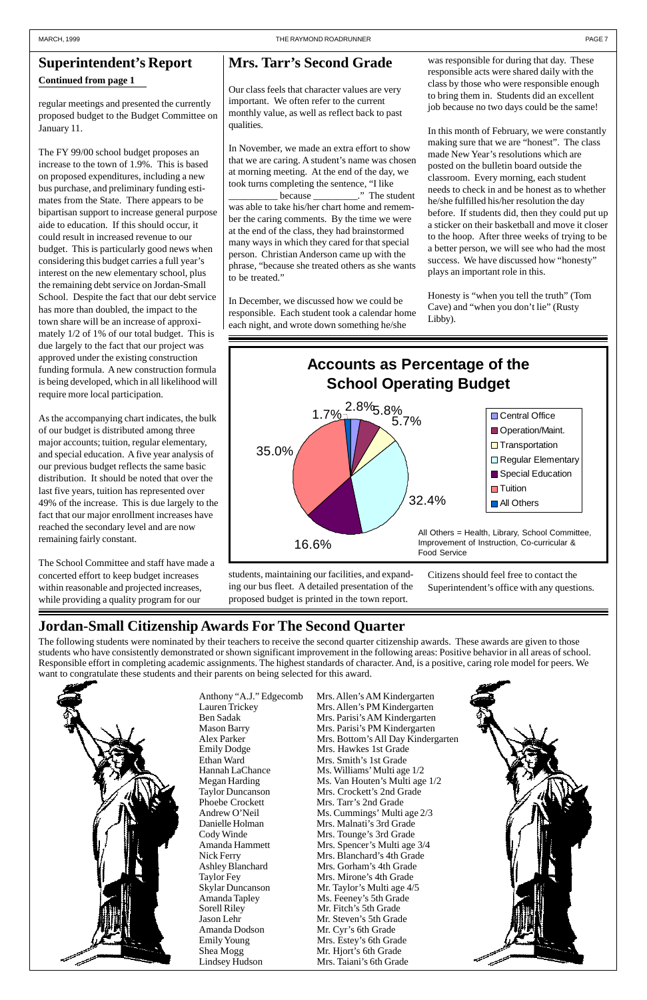# **Jordan-Small Citizenship Awards For The Second Quarter**

### **Mrs. Tarr's Second Grade**

Our class feels that character values are very important. We often refer to the current monthly value, as well as reflect back to past qualities.

In November, we made an extra effort to show that we are caring. A student's name was chosen at morning meeting. At the end of the day, we took turns completing the sentence, "I like because  $\therefore$  The student was able to take his/her chart home and remember the caring comments. By the time we were at the end of the class, they had brainstormed many ways in which they cared for that special person. Christian Anderson came up with the phrase, "because she treated others as she wants to be treated."

In December, we discussed how we could be responsible. Each student took a calendar home each night, and wrote down something he/she

was responsible for during that day. These responsible acts were shared daily with the class by those who were responsible enough to bring them in. Students did an excellent job because no two days could be the same!

In this month of February, we were constantly making sure that we are "honest". The class made New Year's resolutions which are posted on the bulletin board outside the classroom. Every morning, each student needs to check in and be honest as to whether he/she fulfilled his/her resolution the day before. If students did, then they could put up a sticker on their basketball and move it closer to the hoop. After three weeks of trying to be a better person, we will see who had the most success. We have discussed how "honesty" plays an important role in this.

Honesty is "when you tell the truth" (Tom Cave) and "when you don't lie" (Rusty Libby).

regular meetings and presented the currently proposed budget to the Budget Committee on January 11.



The FY 99/00 school budget proposes an increase to the town of 1.9%. This is based on proposed expenditures, including a new bus purchase, and preliminary funding estimates from the State. There appears to be bipartisan support to increase general purpose aide to education. If this should occur, it could result in increased revenue to our budget. This is particularly good news when considering this budget carries a full year's interest on the new elementary school, plus the remaining debt service on Jordan-Small School. Despite the fact that our debt service has more than doubled, the impact to the town share will be an increase of approximately 1/2 of 1% of our total budget. This is due largely to the fact that our project was approved under the existing construction funding formula. A new construction formula is being developed, which in all likelihood will require more local participation.

As the accompanying chart indicates, the bulk of our budget is distributed among three major accounts; tuition, regular elementary, and special education. A five year analysis of our previous budget reflects the same basic distribution. It should be noted that over the last five years, tuition has represented over 49% of the increase. This is due largely to the fact that our major enrollment increases have reached the secondary level and are now remaining fairly constant.

The School Committee and staff have made a concerted effort to keep budget increases within reasonable and projected increases, while providing a quality program for our

**Continued from page 1**

### **Superintendent's Report**

Anthony "A.J." Edgecomb Mrs. Allen's AM Kindergarten Lauren Trickey Mrs. Allen's PM Kindergarten Ben Sadak Mrs. Parisi's AM Kindergarten Mason Barry Mrs. Parisi's PM Kindergarten



Alex Parker Mrs. Bottom's All Day Kindergarten Emily Dodge Mrs. Hawkes 1st Grade Ethan Ward Mrs. Smith's 1st Grade<br>Hannah LaChance Ms. Williams' Multi age Ms. Williams' Multi age 1/2 Megan Harding Ms. Van Houten's Multi age  $1/2$ Taylor Duncanson Mrs. Crockett's 2nd Grade Phoebe Crockett Mrs. Tarr's 2nd Grade Andrew O'Neil Ms. Cummings' Multi age  $2/3$ Danielle Holman Mrs. Malnati's 3rd Grade Cody Winde Mrs. Tounge's 3rd Grade Amanda Hammett Mrs. Spencer's Multi age 3/4 Nick Ferry Mrs. Blanchard's 4th Grade Ashley Blanchard Mrs. Gorham's 4th Grade Taylor Fey Mrs. Mirone's 4th Grade Skylar Duncanson Mr. Taylor's Multi age 4/5 Amanda Tapley Ms. Feeney's 5th Grade Sorell Riley Mr. Fitch's 5th Grade Jason Lehr Mr. Steven's 5th Grade Emily Young Mrs. Estey's 6th Grade Shea Mogg Mr. Hjort's 6th Grade Lindsey Hudson Mrs. Taiani's 6th Grade

Amanda Dodson Mr. Cyr's 6th Grade

The following students were nominated by their teachers to receive the second quarter citizenship awards. These awards are given to those students who have consistently demonstrated or shown significant improvement in the following areas: Positive behavior in all areas of school. Responsible effort in completing academic assignments. The highest standards of character. And, is a positive, caring role model for peers. We want to congratulate these students and their parents on being selected for this award.



students, maintaining our facilities, and expanding our bus fleet. A detailed presentation of the proposed budget is printed in the town report.

Citizens should feel free to contact the Superintendent's office with any questions.